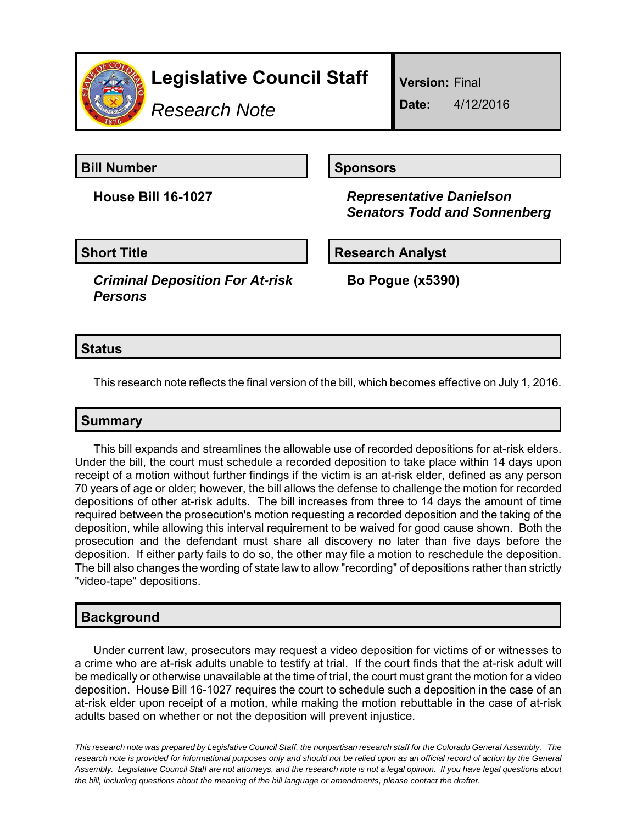

*Research Note*

**Version:** Final

**Date:** 4/12/2016

**Bill Number Sponsors** 

**House Bill 16-1027** *Representative Danielson Senators Todd and Sonnenberg*

*Criminal Deposition For At-risk Persons*

**Short Title Research Analyst** 

**Bo Pogue (x5390)**

# **Status**

This research note reflects the final version of the bill, which becomes effective on July 1, 2016.

## **Summary**

This bill expands and streamlines the allowable use of recorded depositions for at-risk elders. Under the bill, the court must schedule a recorded deposition to take place within 14 days upon receipt of a motion without further findings if the victim is an at-risk elder, defined as any person 70 years of age or older; however, the bill allows the defense to challenge the motion for recorded depositions of other at-risk adults. The bill increases from three to 14 days the amount of time required between the prosecution's motion requesting a recorded deposition and the taking of the deposition, while allowing this interval requirement to be waived for good cause shown. Both the prosecution and the defendant must share all discovery no later than five days before the deposition. If either party fails to do so, the other may file a motion to reschedule the deposition. The bill also changes the wording of state law to allow "recording" of depositions rather than strictly "video-tape" depositions.

# **Background**

Under current law, prosecutors may request a video deposition for victims of or witnesses to a crime who are at-risk adults unable to testify at trial. If the court finds that the at-risk adult will be medically or otherwise unavailable at the time of trial, the court must grant the motion for a video deposition. House Bill 16-1027 requires the court to schedule such a deposition in the case of an at-risk elder upon receipt of a motion, while making the motion rebuttable in the case of at-risk adults based on whether or not the deposition will prevent injustice.

*This research note was prepared by Legislative Council Staff, the nonpartisan research staff for the Colorado General Assembly. The research note is provided for informational purposes only and should not be relied upon as an official record of action by the General Assembly. Legislative Council Staff are not attorneys, and the research note is not a legal opinion. If you have legal questions about the bill, including questions about the meaning of the bill language or amendments, please contact the drafter.*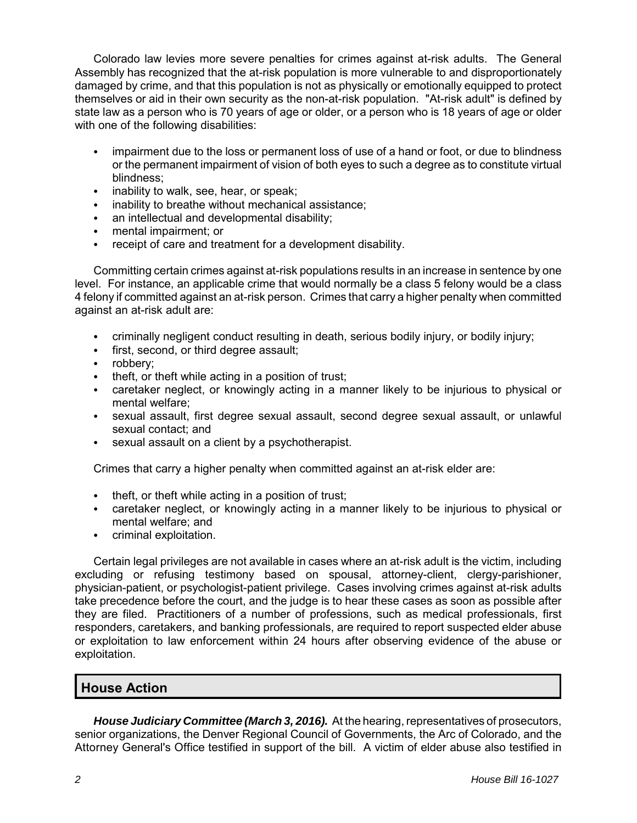Colorado law levies more severe penalties for crimes against at-risk adults. The General Assembly has recognized that the at-risk population is more vulnerable to and disproportionately damaged by crime, and that this population is not as physically or emotionally equipped to protect themselves or aid in their own security as the non-at-risk population. "At-risk adult" is defined by state law as a person who is 70 years of age or older, or a person who is 18 years of age or older with one of the following disabilities:

- impairment due to the loss or permanent loss of use of a hand or foot, or due to blindness or the permanent impairment of vision of both eyes to such a degree as to constitute virtual blindness;
- $\cdot$  inability to walk, see, hear, or speak;
- inability to breathe without mechanical assistance;
- an intellectual and developmental disability;
- mental impairment; or
- receipt of care and treatment for a development disability.

Committing certain crimes against at-risk populations results in an increase in sentence by one level. For instance, an applicable crime that would normally be a class 5 felony would be a class 4 felony if committed against an at-risk person. Crimes that carry a higher penalty when committed against an at-risk adult are:

- criminally negligent conduct resulting in death, serious bodily injury, or bodily injury;
- first, second, or third degree assault;
- $\bullet$  robbery;
- $\cdot$  theft, or theft while acting in a position of trust;
- caretaker neglect, or knowingly acting in a manner likely to be injurious to physical or mental welfare;
- sexual assault, first degree sexual assault, second degree sexual assault, or unlawful sexual contact; and
- sexual assault on a client by a psychotherapist.

Crimes that carry a higher penalty when committed against an at-risk elder are:

- $\cdot$  theft, or theft while acting in a position of trust;
- caretaker neglect, or knowingly acting in a manner likely to be injurious to physical or mental welfare; and
- criminal exploitation.

Certain legal privileges are not available in cases where an at-risk adult is the victim, including excluding or refusing testimony based on spousal, attorney-client, clergy-parishioner, physician-patient, or psychologist-patient privilege. Cases involving crimes against at-risk adults take precedence before the court, and the judge is to hear these cases as soon as possible after they are filed. Practitioners of a number of professions, such as medical professionals, first responders, caretakers, and banking professionals, are required to report suspected elder abuse or exploitation to law enforcement within 24 hours after observing evidence of the abuse or exploitation.

## **House Action**

*House Judiciary Committee (March 3, 2016).* At the hearing, representatives of prosecutors, senior organizations, the Denver Regional Council of Governments, the Arc of Colorado, and the Attorney General's Office testified in support of the bill. A victim of elder abuse also testified in